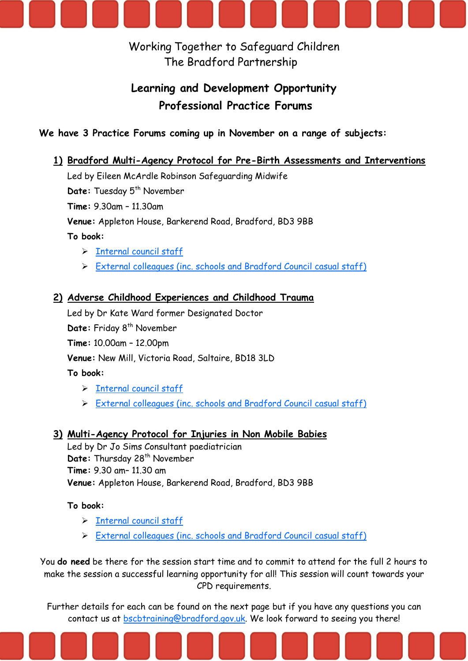

Working Together to Safeguard Children The Bradford Partnership

# **Learning and Development Opportunity Professional Practice Forums**

## **We have 3 Practice Forums coming up in November on a range of subjects:**

## **1) Bradford Multi-Agency Protocol for Pre-Birth Assessments and Interventions**

Led by Eileen McArdle Robinson Safeguarding Midwife

Date: Tuesday 5<sup>th</sup> November

**Time:** 9.30am – 11.30am

**Venue:** Appleton House, Barkerend Road, Bradford, BD3 9BB

**To book:**

- > [Internal council staff](https://bradford.sabacloud.com/Saba/Web_spf/EU2PRD0022/common/ledetail/cours000000000043280)
- External [colleagues \(inc. schools and Bradford Council casual staff\)](https://bradford-external.sabacloud.com/Saba/Web_spf/EU2PRD0022/guest/ledetail/cours000000000043280)

#### **2) Adverse Childhood Experiences and Childhood Trauma**

Led by Dr Kate Ward former Designated Doctor

Date: Friday 8<sup>th</sup> November

**Time:** 10.00am – 12.00pm

**Venue:** New Mill, Victoria Road, Saltaire, BD18 3LD

**To book:**

- $\triangleright$  [Internal council staff](https://bradford.sabacloud.com/Saba/Web_spf/EU2PRD0022/common/ledetail/cours000000000043281)
- External [colleagues \(inc. schools and Bradford Council casual staff\)](https://bradford-external.sabacloud.com/Saba/Web_spf/EU2PRD0022/guest/ledetail/cours000000000043281)

#### **3) Multi-Agency Protocol for Injuries in Non Mobile Babies**

Led by Dr Jo Sims Consultant paediatrician Date: Thursday 28<sup>th</sup> November **Time:** 9.30 am– 11.30 am **Venue:** Appleton House, Barkerend Road, Bradford, BD3 9BB

#### **To book:**

- $\triangleright$  [Internal council staff](https://bradford.sabacloud.com/Saba/Web_spf/EU2PRD0022/common/ledetail/cours000000000043282)
- > External [colleagues \(inc. schools and Bradford Council casual staff\)](https://bradford-external.sabacloud.com/Saba/Web_spf/EU2PRD0022/guest/ledetail/cours000000000043282)

You **do need** be there for the session start time and to commit to attend for the full 2 hours to make the session a successful learning opportunity for all! This session will count towards your CPD requirements.

Further details for each can be found on the next page but if you have any questions you can contact us at [bscbtraining@bradford.gov.uk.](mailto:bscbtraining@bradford.gov.uk?subject=Professional%20Practice%20Forum) We look forward to seeing you there!